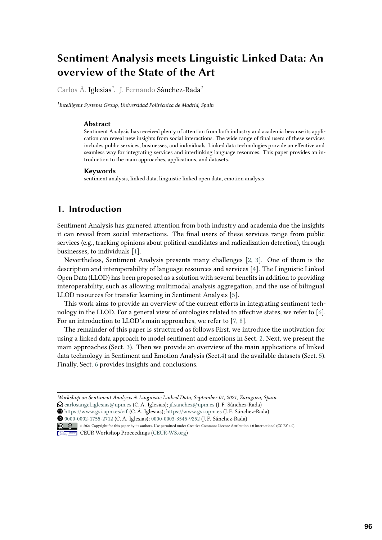# **Sentiment Analysis meets Linguistic Linked Data: An overview of the State of the Art**

Carlos Á. Iglesias*<sup>1</sup>* , J. Fernando Sánchez-Rada*<sup>1</sup>*

*1 Intelligent Systems Group, Universidad Politécnica de Madrid, Spain*

#### **Abstract**

Sentiment Analysis has received plenty of attention from both industry and academia because its application can reveal new insights from social interactions. The wide range of final users of these services includes public services, businesses, and individuals. Linked data technologies provide an effective and seamless way for integrating services and interlinking language resources. This paper provides an introduction to the main approaches, applications, and datasets.

#### **Keywords**

sentiment analysis, linked data, linguistic linked open data, emotion analysis

## **1. Introduction**

Sentiment Analysis has garnered attention from both industry and academia due the insights it can reveal from social interactions. The final users of these services range from public services (e.g., tracking opinions about political candidates and radicalization detection), through businesses, to individuals [\[1\]](#page-7-0).

Nevertheless, Sentiment Analysis presents many challenges [\[2,](#page-8-0) [3\]](#page-8-1). One of them is the description and interoperability of language resources and services [\[4\]](#page-8-2). The Linguistic Linked Open Data (LLOD) has been proposed as a solution with several benefits in addition to providing interoperability, such as allowing multimodal analysis aggregation, and the use of bilingual LLOD resources for transfer learning in Sentiment Analysis [\[5\]](#page-8-3).

This work aims to provide an overview of the current efforts in integrating sentiment technology in the LLOD. For a general view of ontologies related to affective states, we refer to [\[6\]](#page-8-4). For an introduction to LLOD's main approaches, we refer to [\[7,](#page-8-5) [8\]](#page-8-6).

The remainder of this paper is structured as follows First, we introduce the motivation for using a linked data approach to model sentiment and emotions in Sect. [2.](#page-1-0) Next, we present the main approaches (Sect. [3\)](#page-1-1). Then we provide an overview of the main applications of linked data technology in Sentiment and Emotion Analysis (Sect[.4\)](#page-5-0) and the available datasets (Sect. [5\)](#page-6-0). Finally, Sect. [6](#page-6-1) provides insights and conclusions.

*Workshop on Sentiment Analysis & Linguistic Linked Data, September 01, 2021, Zaragoza, Spain*

 $\bigcirc$  [carlosangel.iglesias@upm.es](mailto:carlosangel.iglesias@upm.es) (C. Á. Iglesias); [jf.sanchez@upm.es](mailto:jf.sanchez@upm.es) (J. F. Sánchez-Rada)

[0000-0002-1755-2712](https://orcid.org/0000-0002-1755-2712) (C. Á. Iglesias); [0000-0003-3545-9252](https://orcid.org/0000-0003-3545-9252) (J. F. Sánchez-Rada)

<sup>~</sup> <https://www.gsi.upm.es/cif> (C. Á. Iglesias); <https://www.gsi.upm.es> (J. F. Sánchez-Rada)

<sup>©</sup> 2021 Copyright for this paper by its authors. Use permitted under Creative Commons License Attribution 4.0 International (CC BY 4.0).

**CEUR Workshop [Proceedings](http://ceur-ws.org) [\(CEUR-WS.org\)](http://ceur-ws.org)**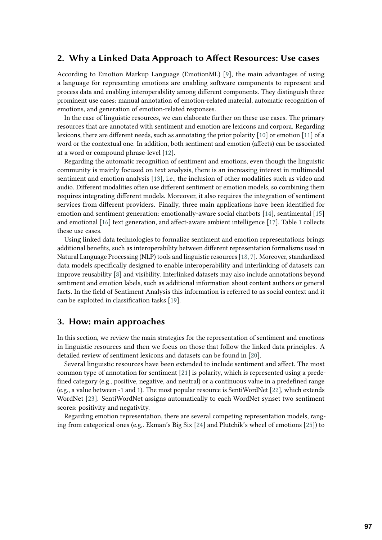## <span id="page-1-0"></span>**2. Why a Linked Data Approach to Affect Resources: Use cases**

According to Emotion Markup Language (EmotionML) [\[9\]](#page-8-7), the main advantages of using a language for representing emotions are enabling software components to represent and process data and enabling interoperability among different components. They distinguish three prominent use cases: manual annotation of emotion-related material, automatic recognition of emotions, and generation of emotion-related responses.

In the case of linguistic resources, we can elaborate further on these use cases. The primary resources that are annotated with sentiment and emotion are lexicons and corpora. Regarding lexicons, there are different needs, such as annotating the prior polarity [\[10\]](#page-8-8) or emotion [\[11\]](#page-8-9) of a word or the contextual one. In addition, both sentiment and emotion (affects) can be associated at a word or compound phrase-level [\[12\]](#page-8-10).

Regarding the automatic recognition of sentiment and emotions, even though the linguistic community is mainly focused on text analysis, there is an increasing interest in multimodal sentiment and emotion analysis [\[13\]](#page-8-11), i.e., the inclusion of other modalities such as video and audio. Different modalities often use different sentiment or emotion models, so combining them requires integrating different models. Moreover, it also requires the integration of sentiment services from different providers. Finally, three main applications have been identified for emotion and sentiment generation: emotionally-aware social chatbots [\[14\]](#page-8-12), sentimental [\[15\]](#page-8-13) and emotional [\[16\]](#page-8-14) text generation, and affect-aware ambient intelligence [\[17\]](#page-8-15). Table [1](#page-2-0) collects these use cases.

Using linked data technologies to formalize sentiment and emotion representations brings additional benefits, such as interoperability between different representation formalisms used in Natural Language Processing (NLP) tools and linguistic resources [\[18,](#page-8-16) [7\]](#page-8-5). Moreover, standardized data models specifically designed to enable interoperability and interlinking of datasets can improve reusability [\[8\]](#page-8-6) and visibility. Interlinked datasets may also include annotations beyond sentiment and emotion labels, such as additional information about content authors or general facts. In the field of Sentiment Analysis this information is referred to as social context and it can be exploited in classification tasks [\[19\]](#page-8-17).

## <span id="page-1-1"></span>**3. How: main approaches**

In this section, we review the main strategies for the representation of sentiment and emotions in linguistic resources and then we focus on those that follow the linked data principles. A detailed review of sentiment lexicons and datasets can be found in [\[20\]](#page-9-0).

Several linguistic resources have been extended to include sentiment and affect. The most common type of annotation for sentiment [\[21\]](#page-9-1) is polarity, which is represented using a predefined category (e.g., positive, negative, and neutral) or a continuous value in a predefined range (e.g., a value between -1 and 1). The most popular resource is SentiWordNet [\[22\]](#page-9-2), which extends WordNet [\[23\]](#page-9-3). SentiWordNet assigns automatically to each WordNet synset two sentiment scores: positivity and negativity.

Regarding emotion representation, there are several competing representation models, ranging from categorical ones (e.g,. Ekman's Big Six [\[24\]](#page-9-4) and Plutchik's wheel of emotions [\[25\]](#page-9-5)) to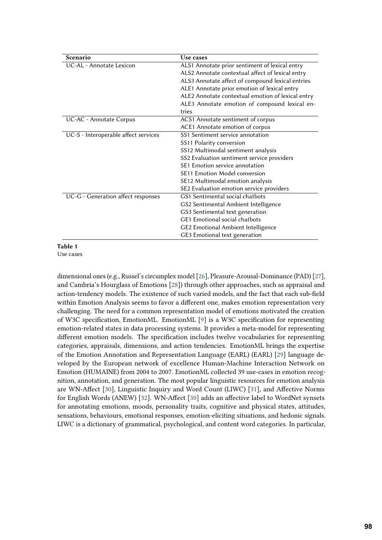<span id="page-2-0"></span>

| Scenario                             | Use cases                                         |  |  |
|--------------------------------------|---------------------------------------------------|--|--|
| UC-AL - Annotate Lexicon             | ALS1 Annotate prior sentiment of lexical entry    |  |  |
|                                      | ALS2 Annotate contextual affect of lexical entry  |  |  |
|                                      | ALS3 Annotate affect of compound lexical entries  |  |  |
|                                      | ALE1 Annotate prior emotion of lexical entry      |  |  |
|                                      | ALE2 Annotate contextual emotion of lexical entry |  |  |
|                                      | ALE3 Annotate emotion of compound lexical en-     |  |  |
|                                      | tries                                             |  |  |
| UC-AC - Annotate Corpus              | ACS1 Annotate sentiment of corpus                 |  |  |
|                                      | ACE1 Annotate emotion of corpus                   |  |  |
| UC-S - Interoperable affect services | SS1 Sentiment service annotation                  |  |  |
|                                      | SS11 Polarity conversion                          |  |  |
|                                      | SS12 Multimodal sentiment analysis                |  |  |
|                                      | SS2 Evaluation sentiment service providers        |  |  |
|                                      | SE1 Emotion service annotation                    |  |  |
|                                      | <b>SE11 Emotion Model conversion</b>              |  |  |
|                                      | SE12 Multimodal emotion analysis                  |  |  |
|                                      | SE2 Evaluation emotion service providers          |  |  |
| UC-G - Generation affect responses   | GS1 Sentimental social chatbots                   |  |  |
|                                      | GS2 Sentimental Ambient Intelligence              |  |  |
|                                      | GS3 Sentimental text generation                   |  |  |
|                                      | <b>GE1</b> Emotional social chatbots              |  |  |
|                                      | <b>GE2</b> Emotional Ambient Intelligence         |  |  |
|                                      | GE3 Emotional text generation                     |  |  |

## **Table 1**

Use cases

dimensional ones (e.g., Russel's circumplex model [\[26\]](#page-9-6), Pleasure-Arousal-Dominance (PAD) [\[27\]](#page-9-7), and Cambria's Hourglass of Emotions [\[28\]](#page-9-8)) through other approaches, such as appraisal and action-tendency models. The existence of such varied models, and the fact that each sub-field within Emotion Analysis seems to favor a different one, makes emotion representation very challenging. The need for a common representation model of emotions motivated the creation of W3C specification, EmotionML. EmotionML [\[9\]](#page-8-7) is a W3C specification for representing emotion-related states in data processing systems. It provides a meta-model for representing different emotion models. The specification includes twelve vocabularies for representing categories, appraisals, dimensions, and action tendencies. EmotionML brings the expertise of the Emotion Annotation and Representation Language (EARL) (EARL) [\[29\]](#page-9-9) language developed by the European network of excellence Human-Machine Interaction Network on Emotion (HUMAINE) from 2004 to 2007. EmotionML collected 39 use-cases in emotion recognition, annotation, and generation. The most popular linguistic resources for emotion analysis are WN-Affect [\[30\]](#page-9-10), Linguistic Inquiry and Word Count (LIWC) [\[31\]](#page-9-11), and Affective Norms for English Words (ANEW) [\[32\]](#page-9-12). WN-Affect [\[30\]](#page-9-10) adds an affective label to WordNet synsets for annotating emotions, moods, personality traits, cognitive and physical states, attitudes, sensations, behaviours, emotional responses, emotion-eliciting situations, and hedonic signals. LIWC is a dictionary of grammatical, psychological, and content word categories. In particular,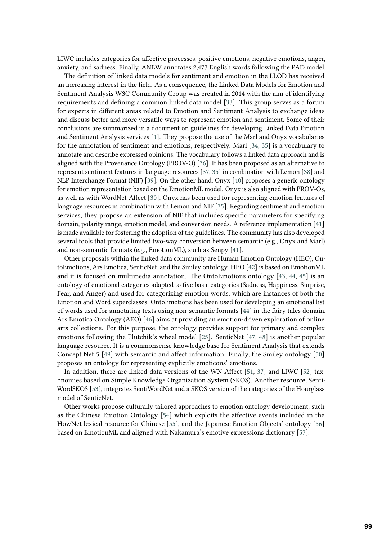LIWC includes categories for affective processes, positive emotions, negative emotions, anger, anxiety, and sadness. Finally, ANEW annotates 2,477 English words following the PAD model.

The definition of linked data models for sentiment and emotion in the LLOD has received an increasing interest in the field. As a consequence, the Linked Data Models for Emotion and Sentiment Analysis W3C Community Group was created in 2014 with the aim of identifying requirements and defining a common linked data model [\[33\]](#page-9-13). This group serves as a forum for experts in different areas related to Emotion and Sentiment Analysis to exchange ideas and discuss better and more versatile ways to represent emotion and sentiment. Some of their conclusions are summarized in a document on guidelines for developing Linked Data Emotion and Sentiment Analysis services [\[1\]](#page-7-0). They propose the use of the Marl and Onyx vocabularies for the annotation of sentiment and emotions, respectively. Marl [\[34,](#page-9-14) [35\]](#page-9-15) is a vocabulary to annotate and describe expressed opinions. The vocabulary follows a linked data approach and is aligned with the Provenance Ontology (PROV-O) [\[36\]](#page-9-16). It has been proposed as an alternative to represent sentiment features in language resources [\[37,](#page-9-17) [35\]](#page-9-15) in combination with Lemon [\[38\]](#page-10-0) and NLP Interchange Format (NIF) [\[39\]](#page-10-1). On the other hand, Onyx [\[40\]](#page-10-2) proposes a generic ontology for emotion representation based on the EmotionML model. Onyx is also aligned with PROV-Os, as well as with WordNet-Affect [\[30\]](#page-9-10). Onyx has been used for representing emotion features of language resources in combination with Lemon and NIF [\[35\]](#page-9-15). Regarding sentiment and emotion services, they propose an extension of NIF that includes specific parameters for specifying domain, polarity range, emotion model, and conversion needs. A reference implementation [\[41\]](#page-10-3) is made available for fostering the adoption of the guidelines. The community has also developed several tools that provide limited two-way conversion between semantic (e.g., Onyx and Marl) and non-semantic formats (e.g., EmotionML), such as Senpy [\[41\]](#page-10-3).

Other proposals within the linked data community are Human Emotion Ontology (HEO), OntoEmotions, Ars Emotica, SenticNet, and the Smiley ontology. HEO [\[42\]](#page-10-4) is based on EmotionML and it is focused on multimedia annotation. The OntoEmotions ontology [\[43,](#page-10-5) [44,](#page-10-6) [45\]](#page-10-7) is an ontology of emotional categories adapted to five basic categories (Sadness, Happiness, Surprise, Fear, and Anger) and used for categorizing emotion words, which are instances of both the Emotion and Word superclasses. OntoEmotions has been used for developing an emotional list of words used for annotating texts using non-semantic formats [\[44\]](#page-10-6) in the fairy tales domain. Ars Emotica Ontology (AEO) [\[46\]](#page-10-8) aims at providing an emotion-driven exploration of online arts collections. For this purpose, the ontology provides support for primary and complex emotions following the Plutchik's wheel model [\[25\]](#page-9-5). SenticNet [\[47,](#page-10-9) [48\]](#page-10-10) is another popular language resource. It is a commonsense knowledge base for Sentiment Analysis that extends Concept Net 5 [\[49\]](#page-10-11) with semantic and affect information. Finally, the Smiley ontology [\[50\]](#page-10-12) proposes an ontology for representing explicitly emoticons' emotions.

In addition, there are linked data versions of the WN-Affect [\[51,](#page-10-13) [37\]](#page-9-17) and LIWC [\[52\]](#page-10-14) taxonomies based on Simple Knowledge Organization System (SKOS). Another resource, Senti-WordSKOS [\[53\]](#page-10-15), integrates SentiWordNet and a SKOS version of the categories of the Hourglass model of SenticNet.

Other works propose culturally tailored approaches to emotion ontology development, such as the Chinese Emotion Ontology [\[54\]](#page-10-16) which exploits the affective events included in the HowNet lexical resource for Chinese [\[55\]](#page-10-17), and the Japanese Emotion Objects' ontology [\[56\]](#page-11-0) based on EmotionML and aligned with Nakamura's emotive expressions dictionary [\[57\]](#page-11-1).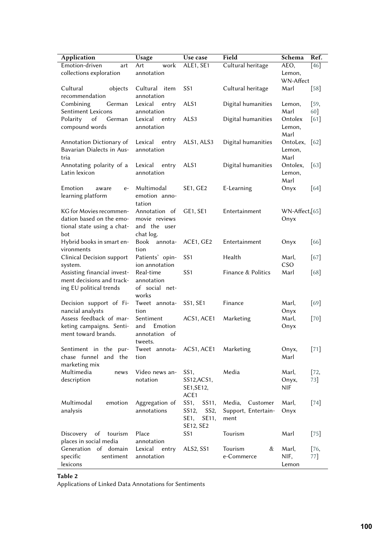| Application                                                                              | Usage                                                       | Use case                                                                | Field                                             | Schema                       | Ref.          |
|------------------------------------------------------------------------------------------|-------------------------------------------------------------|-------------------------------------------------------------------------|---------------------------------------------------|------------------------------|---------------|
| Emotion-driven<br>art                                                                    | Art<br>work                                                 | ALE1, SE1                                                               | Cultural heritage                                 | AEO,                         | $[46]$        |
| collections exploration                                                                  | annotation                                                  |                                                                         |                                                   | Lemon,                       |               |
|                                                                                          |                                                             |                                                                         |                                                   |                              | WN-Affect     |
| Cultural<br>objects<br>recommendation                                                    | Cultural<br>item<br>annotation                              | SS <sub>1</sub>                                                         | Cultural heritage                                 | Marl                         | [58]          |
| Combining<br>German                                                                      | Lexical<br>entry                                            | ALS1                                                                    | Digital humanities                                | Lemon,                       | [59,          |
| Sentiment Lexicons                                                                       | annotation                                                  |                                                                         |                                                   | Marl                         | 60]           |
| of<br>Polarity<br>German<br>compound words                                               | Lexical<br>entry<br>annotation                              | ALS <sub>3</sub>                                                        | Digital humanities                                | Ontolex<br>Lemon,<br>Marl    | [61]          |
| Annotation Dictionary of<br>Bavarian Dialects in Aus-<br>tria                            | Lexical<br>entry<br>annotation                              | ALS1, ALS3                                                              | Digital humanities                                | OntoLex,<br>Lemon,<br>Marl   | $[62]$        |
| Annotating polarity of a<br>Latin lexicon                                                | Lexical<br>entry<br>annotation                              | ALS <sub>1</sub>                                                        | Digital humanities                                | Ontolex,<br>Lemon,<br>Marl   | [63]          |
| Emotion<br>$e-$<br>aware<br>learning platform                                            | Multimodal<br>emotion anno-<br>tation                       | <b>SE1, GE2</b>                                                         | E-Learning                                        | Onyx                         | $[64]$        |
| KG for Movies recommen-<br>dation based on the emo-<br>tional state using a chat-<br>bot | Annotation of<br>movie reviews<br>and the user<br>chat log. | GE1, SE1                                                                | Entertainment                                     | $WN$ -Affect, $[65]$<br>Onyx |               |
| Hybrid books in smart en-<br>vironments                                                  | Book annota-<br>tion                                        | ACE1, GE2                                                               | Entertainment                                     | Onyx                         | [66]          |
| Clinical Decision support<br>system.                                                     | Patients' opin-<br>ion annotation                           | SS <sub>1</sub>                                                         | Health                                            | Marl,<br>CSO                 | [67]          |
| Assisting financial invest-<br>ment decisions and track-<br>ing EU political trends      | Real-time<br>annotation<br>of social net-<br>works          | SS <sub>1</sub>                                                         | Finance & Politics                                | Marl                         | [68]          |
| Decision support of Fi-<br>nancial analysts                                              | Tweet annota-<br>tion                                       | <b>SS1, SE1</b>                                                         | Finance                                           | Marl,<br>Onyx                | [69]          |
| Assess feedback of mar-<br>keting campaigns. Senti-<br>ment toward brands.               | Sentiment<br>Emotion<br>and<br>annotation of<br>tweets.     | ACS1, ACE1                                                              | Marketing                                         | Marl,<br>Onyx                | $[70]$        |
| Sentiment in the<br>pur-<br>chase funnel<br>and the<br>marketing mix                     | Tweet annota-<br>tion                                       | ACS1, ACE1                                                              | Marketing                                         | Onyx,<br>Marl                | $[71]$        |
| Multimedia<br>news<br>description                                                        | Video news an-<br>notation                                  | SS <sub>1</sub><br>SS12, ACS1,<br>SE1, SE12,<br>ACE1                    | Media                                             | Marl,<br>Onyx,<br><b>NIF</b> | $[72,$<br>73] |
| Multimodal<br>emotion<br>analysis                                                        | Aggregation of<br>annotations                               | SS1,<br>SS11,<br>SS12,<br>SS <sub>2</sub><br>SE11,<br>SE1,<br>SE12, SE2 | Media,<br>Customer<br>Support, Entertain-<br>ment | Marl,<br>Onyx                | $[74]$        |
| of<br>Discovery<br>tourism<br>places in social media                                     | Place<br>annotation                                         | SS <sub>1</sub>                                                         | Tourism                                           | Marl                         | $[75]$        |
| Generation of domain<br>specific<br>sentiment<br>lexicons                                | Lexical<br>entry<br>annotation                              | ALS2, SS1                                                               | &<br>Tourism<br>e-Commerce                        | Marl,<br>NIF,<br>Lemon       | $[76,$<br>77] |

#### <span id="page-4-0"></span>**Table 2**

Applications of Linked Data Annotations for Sentiments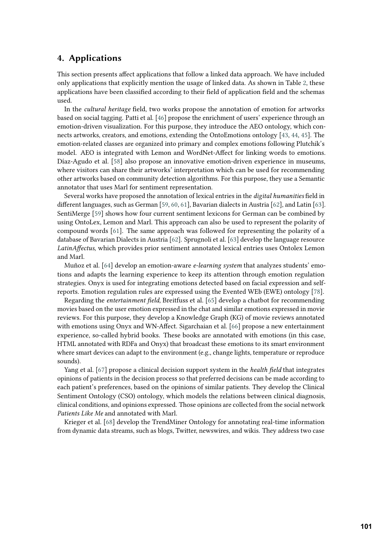## <span id="page-5-0"></span>**4. Applications**

This section presents affect applications that follow a linked data approach. We have included only applications that explicitly mention the usage of linked data. As shown in Table [2,](#page-4-0) these applications have been classified according to their field of application field and the schemas used.

In the *cultural heritage* field, two works propose the annotation of emotion for artworks based on social tagging. Patti et al. [\[46\]](#page-10-8) propose the enrichment of users' experience through an emotion-driven visualization. For this purpose, they introduce the AEO ontology, which connects artworks, creators, and emotions, extending the OntoEmotions ontology [\[43,](#page-10-5) [44,](#page-10-6) [45\]](#page-10-7). The emotion-related classes are organized into primary and complex emotions following Plutchik's model. AEO is integrated with Lemon and WordNet-Affect for linking words to emotions. Díaz-Agudo et al. [\[58\]](#page-11-2) also propose an innovative emotion-driven experience in museums, where visitors can share their artworks' interpretation which can be used for recommending other artworks based on community detection algorithms. For this purpose, they use a Semantic annotator that uses Marl for sentiment representation.

Several works have proposed the annotation of lexical entries in the *digital humanities* field in different languages, such as German [\[59,](#page-11-3) [60,](#page-11-4) [61\]](#page-11-5), Bavarian dialects in Austria [\[62\]](#page-11-6), and Latin [\[63\]](#page-11-7). SentiMerge [\[59\]](#page-11-3) shows how four current sentiment lexicons for German can be combined by using OntoLex, Lemon and Marl. This approach can also be used to represent the polarity of compound words [\[61\]](#page-11-5). The same approach was followed for representing the polarity of a database of Bavarian Dialects in Austria [\[62\]](#page-11-6). Sprugnoli et al. [\[63\]](#page-11-7) develop the language resource *LatinAffectus*, which provides prior sentiment annotated lexical entries uses Ontolex Lemon and Marl.

Muñoz et al. [\[64\]](#page-11-8) develop an emotion-aware *e-learning system* that analyzes students' emotions and adapts the learning experience to keep its attention through emotion regulation strategies. Onyx is used for integrating emotions detected based on facial expression and selfreports. Emotion regulation rules are expressed using the Evented WEb (EWE) ontology [\[78\]](#page-12-6).

Regarding the *entertainment field*, Breitfuss et al. [\[65\]](#page-11-9) develop a chatbot for recommending movies based on the user emotion expressed in the chat and similar emotions expressed in movie reviews. For this purpose, they develop a Knowledge Graph (KG) of movie reviews annotated with emotions using Onyx and WN-Affect. Sigarchaian et al. [\[66\]](#page-11-10) propose a new entertainment experience, so-called hybrid books. These books are annotated with emotions (in this case, HTML annotated with RDFa and Onyx) that broadcast these emotions to its smart environment where smart devices can adapt to the environment (e.g., change lights, temperature or reproduce sounds).

Yang et al. [\[67\]](#page-11-11) propose a clinical decision support system in the *health field* that integrates opinions of patients in the decision process so that preferred decisions can be made according to each patient's preferences, based on the opinions of similar patients. They develop the Clinical Sentiment Ontology (CSO) ontology, which models the relations between clinical diagnosis, clinical conditions, and opinions expressed. Those opinions are collected from the social network *Patients Like Me* and annotated with Marl.

Krieger et al. [\[68\]](#page-11-12) develop the TrendMiner Ontology for annotating real-time information from dynamic data streams, such as blogs, Twitter, newswires, and wikis. They address two case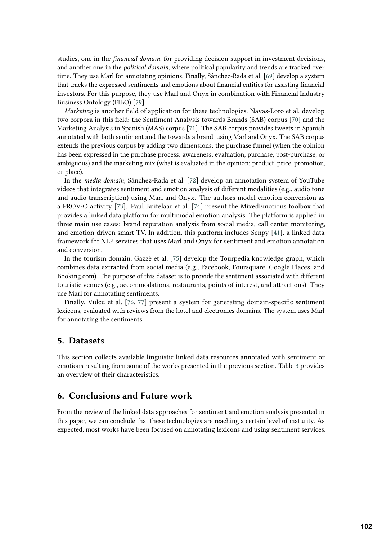studies, one in the *financial domain*, for providing decision support in investment decisions, and another one in the *political domain*, where political popularity and trends are tracked over time. They use Marl for annotating opinions. Finally, Sánchez-Rada et al. [\[69\]](#page-11-13) develop a system that tracks the expressed sentiments and emotions about financial entities for assisting financial investors. For this purpose, they use Marl and Onyx in combination with Financial Industry Business Ontology (FIBO) [\[79\]](#page-12-7).

*Marketing* is another field of application for these technologies. Navas-Loro et al. develop two corpora in this field: the Sentiment Analysis towards Brands (SAB) corpus [\[70\]](#page-11-14) and the Marketing Analysis in Spanish (MAS) corpus [\[71\]](#page-11-15). The SAB corpus provides tweets in Spanish annotated with both sentiment and the towards a brand, using Marl and Onyx. The SAB corpus extends the previous corpus by adding two dimensions: the purchase funnel (when the opinion has been expressed in the purchase process: awareness, evaluation, purchase, post-purchase, or ambiguous) and the marketing mix (what is evaluated in the opinion: product, price, promotion, or place).

In the *media domain*, Sánchez-Rada et al. [\[72\]](#page-12-0) develop an annotation system of YouTube videos that integrates sentiment and emotion analysis of different modalities (e.g., audio tone and audio transcription) using Marl and Onyx. The authors model emotion conversion as a PROV-O activity [\[73\]](#page-12-1). Paul Buitelaar et al. [\[74\]](#page-12-2) present the MixedEmotions toolbox that provides a linked data platform for multimodal emotion analysis. The platform is applied in three main use cases: brand reputation analysis from social media, call center monitoring, and emotion-driven smart TV. In addition, this platform includes Senpy [\[41\]](#page-10-3), a linked data framework for NLP services that uses Marl and Onyx for sentiment and emotion annotation and conversion.

In the tourism domain, Gazzè et al. [\[75\]](#page-12-3) develop the Tourpedia knowledge graph, which combines data extracted from social media (e.g., Facebook, Foursquare, Google Places, and Booking.com). The purpose of this dataset is to provide the sentiment associated with different touristic venues (e.g., accommodations, restaurants, points of interest, and attractions). They use Marl for annotating sentiments.

Finally, Vulcu et al. [\[76,](#page-12-4) [77\]](#page-12-5) present a system for generating domain-specific sentiment lexicons, evaluated with reviews from the hotel and electronics domains. The system uses Marl for annotating the sentiments.

### <span id="page-6-0"></span>**5. Datasets**

This section collects available linguistic linked data resources annotated with sentiment or emotions resulting from some of the works presented in the previous section. Table [3](#page-7-1) provides an overview of their characteristics.

## <span id="page-6-1"></span>**6. Conclusions and Future work**

From the review of the linked data approaches for sentiment and emotion analysis presented in this paper, we can conclude that these technologies are reaching a certain level of maturity. As expected, most works have been focused on annotating lexicons and using sentiment services.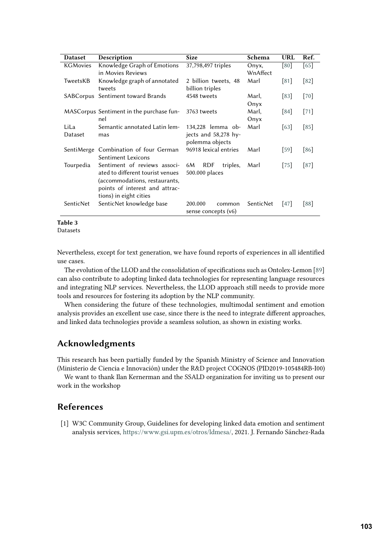<span id="page-7-1"></span>

| <b>Dataset</b>  | Description                              | <b>Size</b>                  | Schema    | <b>URL</b> | Ref.   |
|-----------------|------------------------------------------|------------------------------|-----------|------------|--------|
| <b>KGMovies</b> | Knowledge Graph of Emotions              | 37,798,497 triples           | Onyx,     | [80]       | [65]   |
|                 | in Movies Reviews                        |                              | WnAffect  |            |        |
| TweetsKB        | Knowledge graph of annotated             | 2 billion tweets, 48         | Marl      | [81]       | $[82]$ |
|                 | tweets                                   | billion triples              |           |            |        |
|                 | SABCorpus Sentiment toward Brands        | 4548 tweets                  | Marl,     | [83]       | $[70]$ |
|                 |                                          |                              | Onyx      |            |        |
|                 | MASCorpus Sentiment in the purchase fun- | 3763 tweets                  | Marl,     | [84]       | $[71]$ |
|                 | nel                                      |                              | Onyx      |            |        |
| LiLa            | Semantic annotated Latin lem-            | 134,228 lemma ob-            | Marl      | 63         | [85]   |
| Dataset         | mas                                      | jects and 58,278 hy-         |           |            |        |
|                 |                                          | polemma objects              |           |            |        |
| SentiMerge      | Combination of four German               | 96918 lexical entries        | Marl      | [59]       | [86]   |
|                 | Sentiment Lexicons                       |                              |           |            |        |
| Tourpedia       | Sentiment of reviews associ-             | <b>RDF</b><br>6M<br>triples, | Marl      | 75         | [87]   |
|                 | ated to different tourist venues         | 500.000 places               |           |            |        |
|                 | (accommodations, restaurants,            |                              |           |            |        |
|                 | points of interest and attrac-           |                              |           |            |        |
|                 | tions) in eight cities                   |                              |           |            |        |
| SenticNet       | SenticNet knowledge base                 | 200.000<br>common            | SenticNet | 47         | 88     |
|                 |                                          | sense concepts (v6)          |           |            |        |

**Table 3**

Datasets

Nevertheless, except for text generation, we have found reports of experiences in all identified use cases.

The evolution of the LLOD and the consolidation of specifications such as Ontolex-Lemon [\[89\]](#page-13-0) can also contribute to adopting linked data technologies for representing language resources and integrating NLP services. Nevertheless, the LLOD approach still needs to provide more tools and resources for fostering its adoption by the NLP community.

When considering the future of these technologies, multimodal sentiment and emotion analysis provides an excellent use case, since there is the need to integrate different approaches, and linked data technologies provide a seamless solution, as shown in existing works.

# **Acknowledgments**

This research has been partially funded by the Spanish Ministry of Science and Innovation (Ministerio de Ciencia e Innovación) under the R&D project COGNOS (PID2019-105484RB-I00)

We want to thank Ilan Kernerman and the SSALD organization for inviting us to present our work in the workshop

## **References**

<span id="page-7-0"></span>[1] W3C Community Group, Guidelines for developing linked data emotion and sentiment analysis services, [https://www.gsi.upm.es/otros/ldmesa/,](https://www.gsi.upm.es/otros/ldmesa/) 2021. J. Fernando Sánchez-Rada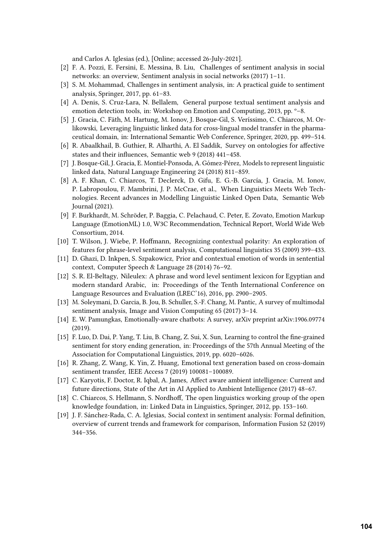and Carlos A. Iglesias (ed.), [Online; accessed 26-July-2021].

- <span id="page-8-0"></span>[2] F. A. Pozzi, E. Fersini, E. Messina, B. Liu, Challenges of sentiment analysis in social networks: an overview, Sentiment analysis in social networks (2017) 1–11.
- <span id="page-8-1"></span>[3] S. M. Mohammad, Challenges in sentiment analysis, in: A practical guide to sentiment analysis, Springer, 2017, pp. 61–83.
- <span id="page-8-2"></span>[4] A. Denis, S. Cruz-Lara, N. Bellalem, General purpose textual sentiment analysis and emotion detection tools, in: Workshop on Emotion and Computing, 2013, pp. º–8.
- <span id="page-8-3"></span>[5] J. Gracia, C. Fäth, M. Hartung, M. Ionov, J. Bosque-Gil, S. Veríssimo, C. Chiarcos, M. Orlikowski, Leveraging linguistic linked data for cross-lingual model transfer in the pharmaceutical domain, in: International Semantic Web Conference, Springer, 2020, pp. 499–514.
- <span id="page-8-4"></span>[6] R. Abaalkhail, B. Guthier, R. Alharthi, A. El Saddik, Survey on ontologies for affective states and their influences, Semantic web 9 (2018) 441–458.
- <span id="page-8-5"></span>[7] J. Bosque-Gil, J. Gracia, E. Montiel-Ponsoda, A. Gómez-Pérez, Models to represent linguistic linked data, Natural Language Engineering 24 (2018) 811–859.
- <span id="page-8-6"></span>[8] A. F. Khan, C. Chiarcos, T. Declerck, D. Gifu, E. G.-B. García, J. Gracia, M. Ionov, P. Labropoulou, F. Mambrini, J. P. McCrae, et al., When Linguistics Meets Web Technologies. Recent advances in Modelling Linguistic Linked Open Data, Semantic Web Journal (2021).
- <span id="page-8-7"></span>[9] F. Burkhardt, M. Schröder, P. Baggia, C. Pelachaud, C. Peter, E. Zovato, Emotion Markup Language (EmotionML) 1.0, W3C Recommendation, Technical Report, World Wide Web Consortium, 2014.
- <span id="page-8-8"></span>[10] T. Wilson, J. Wiebe, P. Hoffmann, Recognizing contextual polarity: An exploration of features for phrase-level sentiment analysis, Computational linguistics 35 (2009) 399–433.
- <span id="page-8-9"></span>[11] D. Ghazi, D. Inkpen, S. Szpakowicz, Prior and contextual emotion of words in sentential context, Computer Speech & Language 28 (2014) 76–92.
- <span id="page-8-10"></span>[12] S. R. El-Beltagy, Nileulex: A phrase and word level sentiment lexicon for Egyptian and modern standard Arabic, in: Proceedings of the Tenth International Conference on Language Resources and Evaluation (LREC'16), 2016, pp. 2900–2905.
- <span id="page-8-11"></span>[13] M. Soleymani, D. Garcia, B. Jou, B. Schuller, S.-F. Chang, M. Pantic, A survey of multimodal sentiment analysis, Image and Vision Computing 65 (2017) 3–14.
- <span id="page-8-12"></span>[14] E. W. Pamungkas, Emotionally-aware chatbots: A survey, arXiv preprint arXiv:1906.09774 (2019).
- <span id="page-8-13"></span>[15] F. Luo, D. Dai, P. Yang, T. Liu, B. Chang, Z. Sui, X. Sun, Learning to control the fine-grained sentiment for story ending generation, in: Proceedings of the 57th Annual Meeting of the Association for Computational Linguistics, 2019, pp. 6020–6026.
- <span id="page-8-14"></span>[16] R. Zhang, Z. Wang, K. Yin, Z. Huang, Emotional text generation based on cross-domain sentiment transfer, IEEE Access 7 (2019) 100081–100089.
- <span id="page-8-15"></span>[17] C. Karyotis, F. Doctor, R. Iqbal, A. James, Affect aware ambient intelligence: Current and future directions, State of the Art in AI Applied to Ambient Intelligence (2017) 48–67.
- <span id="page-8-16"></span>[18] C. Chiarcos, S. Hellmann, S. Nordhoff, The open linguistics working group of the open knowledge foundation, in: Linked Data in Linguistics, Springer, 2012, pp. 153–160.
- <span id="page-8-17"></span>[19] J. F. Sánchez-Rada, C. A. Iglesias, Social context in sentiment analysis: Formal definition, overview of current trends and framework for comparison, Information Fusion 52 (2019) 344–356.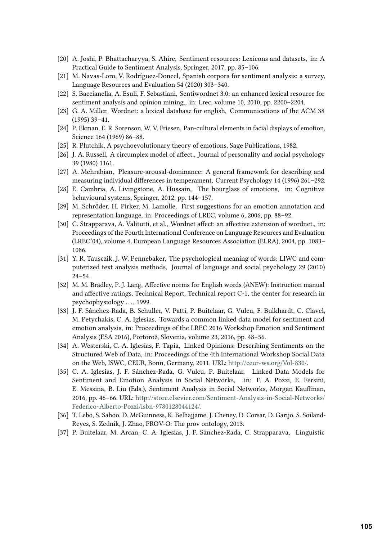- <span id="page-9-0"></span>[20] A. Joshi, P. Bhattacharyya, S. Ahire, Sentiment resources: Lexicons and datasets, in: A Practical Guide to Sentiment Analysis, Springer, 2017, pp. 85–106.
- <span id="page-9-1"></span>[21] M. Navas-Loro, V. Rodríguez-Doncel, Spanish corpora for sentiment analysis: a survey, Language Resources and Evaluation 54 (2020) 303–340.
- <span id="page-9-2"></span>[22] S. Baccianella, A. Esuli, F. Sebastiani, Sentiwordnet 3.0: an enhanced lexical resource for sentiment analysis and opinion mining., in: Lrec, volume 10, 2010, pp. 2200–2204.
- <span id="page-9-3"></span>[23] G. A. Miller, Wordnet: a lexical database for english, Communications of the ACM 38 (1995) 39–41.
- <span id="page-9-4"></span>[24] P. Ekman, E. R. Sorenson, W. V. Friesen, Pan-cultural elements in facial displays of emotion, Science 164 (1969) 86–88.
- <span id="page-9-5"></span>[25] R. Plutchik, A psychoevolutionary theory of emotions, Sage Publications, 1982.
- <span id="page-9-6"></span>[26] J. A. Russell, A circumplex model of affect., Journal of personality and social psychology 39 (1980) 1161.
- <span id="page-9-7"></span>[27] A. Mehrabian, Pleasure-arousal-dominance: A general framework for describing and measuring individual differences in temperament, Current Psychology 14 (1996) 261–292.
- <span id="page-9-8"></span>[28] E. Cambria, A. Livingstone, A. Hussain, The hourglass of emotions, in: Cognitive behavioural systems, Springer, 2012, pp. 144–157.
- <span id="page-9-9"></span>[29] M. Schröder, H. Pirker, M. Lamolle, First suggestions for an emotion annotation and representation language, in: Proceedings of LREC, volume 6, 2006, pp. 88–92.
- <span id="page-9-10"></span>[30] C. Strapparava, A. Valitutti, et al., Wordnet affect: an affective extension of wordnet., in: Proceedings of the Fourth International Conference on Language Resources and Evaluation (LREC'04), volume 4, European Language Resources Association (ELRA), 2004, pp. 1083– 1086.
- <span id="page-9-11"></span>[31] Y. R. Tausczik, J. W. Pennebaker, The psychological meaning of words: LIWC and computerized text analysis methods, Journal of language and social psychology 29 (2010) 24–54.
- <span id="page-9-12"></span>[32] M. M. Bradley, P. J. Lang, Affective norms for English words (ANEW): Instruction manual and affective ratings, Technical Report, Technical report C-1, the center for research in psychophysiology . . . , 1999.
- <span id="page-9-13"></span>[33] J. F. Sánchez-Rada, B. Schuller, V. Patti, P. Buitelaar, G. Vulcu, F. Bulkhardt, C. Clavel, M. Petychakis, C. A. Iglesias, Towards a common linked data model for sentiment and emotion analysis, in: Proceedings of the LREC 2016 Workshop Emotion and Sentiment Analysis (ESA 2016), Portorož, Slovenia, volume 23, 2016, pp. 48–56.
- <span id="page-9-14"></span>[34] A. Westerski, C. A. Iglesias, F. Tapia, Linked Opinions: Describing Sentiments on the Structured Web of Data, in: Proceedings of the 4th International Workshop Social Data on the Web, ISWC, CEUR, Bonn, Germany, 2011. URL: [http://ceur-ws.org/Vol-830/.](http://ceur-ws.org/Vol-830/)
- <span id="page-9-15"></span>[35] C. A. Iglesias, J. F. Sánchez-Rada, G. Vulcu, P. Buitelaar, Linked Data Models for Sentiment and Emotion Analysis in Social Networks, in: F. A. Pozzi, E. Fersini, E. Messina, B. Liu (Eds.), Sentiment Analysis in Social Networks, Morgan Kauffman, 2016, pp. 46–66. URL: [http://store.elsevier.com/Sentiment-Analysis-in-Social-Networks/](http://store.elsevier.com/Sentiment-Analysis-in-Social-Networks/Federico-Alberto-Pozzi/isbn-9780128044124/) [Federico-Alberto-Pozzi/isbn-9780128044124/.](http://store.elsevier.com/Sentiment-Analysis-in-Social-Networks/Federico-Alberto-Pozzi/isbn-9780128044124/)
- <span id="page-9-16"></span>[36] T. Lebo, S. Sahoo, D. McGuinness, K. Belhajjame, J. Cheney, D. Corsar, D. Garijo, S. Soiland-Reyes, S. Zednik, J. Zhao, PROV-O: The prov ontology, 2013.
- <span id="page-9-17"></span>[37] P. Buitelaar, M. Arcan, C. A. Iglesias, J. F. Sánchez-Rada, C. Strapparava, Linguistic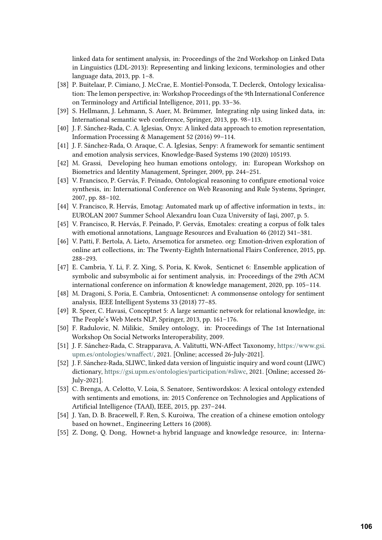linked data for sentiment analysis, in: Proceedings of the 2nd Workshop on Linked Data in Linguistics (LDL-2013): Representing and linking lexicons, terminologies and other language data, 2013, pp. 1–8.

- <span id="page-10-0"></span>[38] P. Buitelaar, P. Cimiano, J. McCrae, E. Montiel-Ponsoda, T. Declerck, Ontology lexicalisation: The lemon perspective, in: Workshop Proceedings of the 9th International Conference on Terminology and Artificial Intelligence, 2011, pp. 33–36.
- <span id="page-10-1"></span>[39] S. Hellmann, J. Lehmann, S. Auer, M. Brümmer, Integrating nlp using linked data, in: International semantic web conference, Springer, 2013, pp. 98–113.
- <span id="page-10-2"></span>[40] J. F. Sánchez-Rada, C. A. Iglesias, Onyx: A linked data approach to emotion representation, Information Processing & Management 52 (2016) 99–114.
- <span id="page-10-3"></span>[41] J. F. Sánchez-Rada, O. Araque, C. A. Iglesias, Senpy: A framework for semantic sentiment and emotion analysis services, Knowledge-Based Systems 190 (2020) 105193.
- <span id="page-10-4"></span>[42] M. Grassi, Developing heo human emotions ontology, in: European Workshop on Biometrics and Identity Management, Springer, 2009, pp. 244–251.
- <span id="page-10-5"></span>[43] V. Francisco, P. Gervás, F. Peinado, Ontological reasoning to configure emotional voice synthesis, in: International Conference on Web Reasoning and Rule Systems, Springer, 2007, pp. 88–102.
- <span id="page-10-6"></span>[44] V. Francisco, R. Hervás, Emotag: Automated mark up of affective information in texts., in: EUROLAN 2007 Summer School Alexandru Ioan Cuza University of Iaşi, 2007, p. 5.
- <span id="page-10-7"></span>[45] V. Francisco, R. Hervás, F. Peinado, P. Gervás, Emotales: creating a corpus of folk tales with emotional annotations, Language Resources and Evaluation 46 (2012) 341–381.
- <span id="page-10-8"></span>[46] V. Patti, F. Bertola, A. Lieto, Arsemotica for arsmeteo. org: Emotion-driven exploration of online art collections, in: The Twenty-Eighth International Flairs Conference, 2015, pp. 288–293.
- <span id="page-10-9"></span>[47] E. Cambria, Y. Li, F. Z. Xing, S. Poria, K. Kwok, Senticnet 6: Ensemble application of symbolic and subsymbolic ai for sentiment analysis, in: Proceedings of the 29th ACM international conference on information & knowledge management, 2020, pp. 105–114.
- <span id="page-10-10"></span>[48] M. Dragoni, S. Poria, E. Cambria, Ontosenticnet: A commonsense ontology for sentiment analysis, IEEE Intelligent Systems 33 (2018) 77–85.
- <span id="page-10-11"></span>[49] R. Speer, C. Havasi, Conceptnet 5: A large semantic network for relational knowledge, in: The People's Web Meets NLP, Springer, 2013, pp. 161–176.
- <span id="page-10-12"></span>[50] F. Radulovic, N. Milikic, Smiley ontology, in: Proceedings of The 1st International Workshop On Social Networks Interoperability, 2009.
- <span id="page-10-13"></span>[51] J. F. Sánchez-Rada, C. Strapparava, A. Valitutti, WN-Affect Taxonomy, [https://www.gsi.](https://www.gsi.upm.es/ontologies/wnaffect/) [upm.es/ontologies/wnaffect/,](https://www.gsi.upm.es/ontologies/wnaffect/) 2021. [Online; accessed 26-July-2021].
- <span id="page-10-14"></span>[52] J. F. Sánchez-Rada, SLIWC, linked data version of linguistic inquiry and word count (LIWC) dictionary, [https://gsi.upm.es/ontologies/participation/#sliwc,](https://gsi.upm.es/ontologies/participation/#sliwc) 2021. [Online; accessed 26- July-2021].
- <span id="page-10-15"></span>[53] C. Brenga, A. Celotto, V. Loia, S. Senatore, Sentiwordskos: A lexical ontology extended with sentiments and emotions, in: 2015 Conference on Technologies and Applications of Artificial Intelligence (TAAI), IEEE, 2015, pp. 237–244.
- <span id="page-10-16"></span>[54] J. Yan, D. B. Bracewell, F. Ren, S. Kuroiwa, The creation of a chinese emotion ontology based on hownet., Engineering Letters 16 (2008).
- <span id="page-10-17"></span>[55] Z. Dong, Q. Dong, Hownet-a hybrid language and knowledge resource, in: Interna-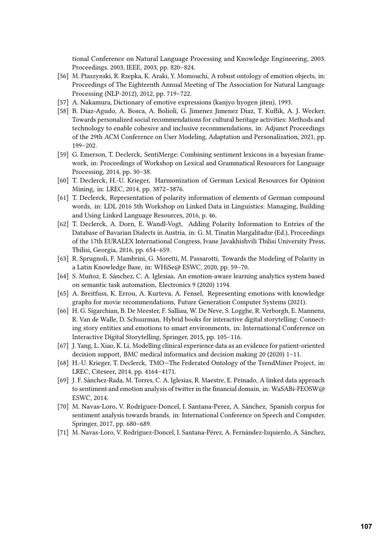tional Conference on Natural Language Processing and Knowledge Engineering, 2003. Proceedings. 2003, IEEE, 2003, pp. 820–824.

- <span id="page-11-0"></span>[56] M. Ptaszynski, R. Rzepka, K. Araki, Y. Momouchi, A robust ontology of emotion objects, in: Proceedings of The Eighteenth Annual Meeting of The Association for Natural Language Processing (NLP-2012), 2012, pp. 719–722.
- <span id="page-11-1"></span>[57] A. Nakamura, Dictionary of emotive expressions (kanjyo hyogen jiten), 1993.
- <span id="page-11-2"></span>[58] B. Diaz-Agudo, A. Bosca, A. Bolioli, G. Jimenez Jimenez Diaz, T. Kuflik, A. J. Wecker, Towards personalized social recommendations for cultural heritage activities: Methods and technology to enable cohesive and inclusive recommendations, in: Adjunct Proceedings of the 29th ACM Conference on User Modeling, Adaptation and Personalization, 2021, pp. 199–202.
- <span id="page-11-3"></span>[59] G. Emerson, T. Declerck, SentiMerge: Combining sentiment lexicons in a bayesian framework, in: Proceedings of Workshop on Lexical and Grammatical Resources for Language Processing, 2014, pp. 30–38.
- <span id="page-11-4"></span>[60] T. Declerck, H.-U. Krieger, Harmonization of German Lexical Resources for Opinion Mining, in: LREC, 2014, pp. 3872–3876.
- <span id="page-11-5"></span>[61] T. Declerck, Representation of polarity information of elements of German compound words, in: LDL 2016 5th Workshop on Linked Data in Linguistics: Managing, Building and Using Linked Language Resources, 2016, p. 46.
- <span id="page-11-6"></span>[62] T. Declerck, A. Dorn, E. Wandl-Vogt, Adding Polarity Information to Entries of the Database of Bavarian Dialects in Austria, in: G. M. Tinatin Margalitadze (Ed.), Proceedings of the 17th EURALEX International Congress, Ivane Javakhishvili Tbilisi University Press, Tbilisi, Georgia, 2016, pp. 654–659.
- <span id="page-11-7"></span>[63] R. Sprugnoli, F. Mambrini, G. Moretti, M. Passarotti, Towards the Modeling of Polarity in a Latin Knowledge Base, in: WHiSe@ ESWC, 2020, pp. 59–70.
- <span id="page-11-8"></span>[64] S. Muñoz, E. Sánchez, C. A. Iglesias, An emotion-aware learning analytics system based on semantic task automation, Electronics 9 (2020) 1194.
- <span id="page-11-9"></span>[65] A. Breitfuss, K. Errou, A. Kurteva, A. Fensel, Representing emotions with knowledge graphs for movie recommendations, Future Generation Computer Systems (2021).
- <span id="page-11-10"></span>[66] H. G. Sigarchian, B. De Meester, F. Salliau, W. De Neve, S. Logghe, R. Verborgh, E. Mannens, R. Van de Walle, D. Schuurman, Hybrid books for interactive digital storytelling: Connecting story entities and emotions to smart environments, in: International Conference on Interactive Digital Storytelling, Springer, 2015, pp. 105–116.
- <span id="page-11-11"></span>[67] J. Yang, L. Xiao, K. Li, Modelling clinical experience data as an evidence for patient-oriented decision support, BMC medical informatics and decision making 20 (2020) 1–11.
- <span id="page-11-12"></span>[68] H.-U. Krieger, T. Declerck, TMO—The Federated Ontology of the TrendMiner Project, in: LREC, Citeseer, 2014, pp. 4164–4171.
- <span id="page-11-13"></span>[69] J. F. Sánchez-Rada, M. Torres, C. A. Iglesias, R. Maestre, E. Peinado, A linked data approach to sentiment and emotion analysis of twitter in the financial domain, in: WaSABi-FEOSW@ ESWC, 2014.
- <span id="page-11-14"></span>[70] M. Navas-Loro, V. Rodríguez-Doncel, I. Santana-Perez, A. Sánchez, Spanish corpus for sentiment analysis towards brands, in: International Conference on Speech and Computer, Springer, 2017, pp. 680–689.
- <span id="page-11-15"></span>[71] M. Navas-Loro, V. Rodríguez-Doncel, I. Santana-Pérez, A. Fernández-Izquierdo, A. Sánchez,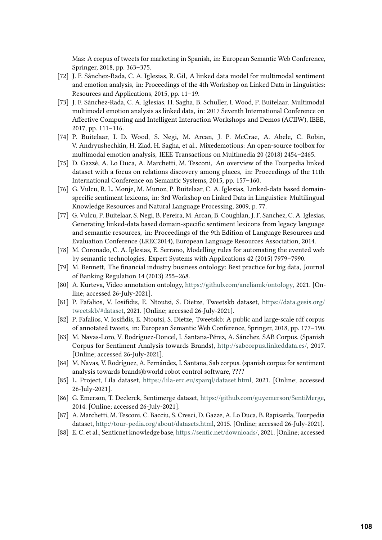Mas: A corpus of tweets for marketing in Spanish, in: European Semantic Web Conference, Springer, 2018, pp. 363–375.

- <span id="page-12-0"></span>[72] J. F. Sánchez-Rada, C. A. Iglesias, R. Gil, A linked data model for multimodal sentiment and emotion analysis, in: Proceedings of the 4th Workshop on Linked Data in Linguistics: Resources and Applications, 2015, pp. 11–19.
- <span id="page-12-1"></span>[73] J. F. Sánchez-Rada, C. A. Iglesias, H. Sagha, B. Schuller, I. Wood, P. Buitelaar, Multimodal multimodel emotion analysis as linked data, in: 2017 Seventh International Conference on Affective Computing and Intelligent Interaction Workshops and Demos (ACIIW), IEEE, 2017, pp. 111–116.
- <span id="page-12-2"></span>[74] P. Buitelaar, I. D. Wood, S. Negi, M. Arcan, J. P. McCrae, A. Abele, C. Robin, V. Andryushechkin, H. Ziad, H. Sagha, et al., Mixedemotions: An open-source toolbox for multimodal emotion analysis, IEEE Transactions on Multimedia 20 (2018) 2454–2465.
- <span id="page-12-3"></span>[75] D. Gazzè, A. Lo Duca, A. Marchetti, M. Tesconi, An overview of the Tourpedia linked dataset with a focus on relations discovery among places, in: Proceedings of the 11th International Conference on Semantic Systems, 2015, pp. 157–160.
- <span id="page-12-4"></span>[76] G. Vulcu, R. L. Monje, M. Munoz, P. Buitelaar, C. A. Iglesias, Linked-data based domainspecific sentiment lexicons, in: 3rd Workshop on Linked Data in Linguistics: Multilingual Knowledge Resources and Natural Language Processing, 2009, p. 77.
- <span id="page-12-5"></span>[77] G. Vulcu, P. Buitelaar, S. Negi, B. Pereira, M. Arcan, B. Coughlan, J. F. Sanchez, C. A. Iglesias, Generating linked-data based domain-specific sentiment lexicons from legacy language and semantic resources, in: Proceedings of the 9th Edition of Language Resources and Evaluation Conference (LREC2014), European Language Resources Association, 2014.
- <span id="page-12-6"></span>[78] M. Coronado, C. A. Iglesias, E. Serrano, Modelling rules for automating the evented web by semantic technologies, Expert Systems with Applications 42 (2015) 7979–7990.
- <span id="page-12-7"></span>[79] M. Bennett, The financial industry business ontology: Best practice for big data, Journal of Banking Regulation 14 (2013) 255–268.
- <span id="page-12-8"></span>[80] A. Kurteva, Video annotation ontology, [https://github.com/aneliamk/ontology,](https://github.com/aneliamk/ontology) 2021. [Online; accessed 26-July-2021].
- <span id="page-12-9"></span>[81] P. Fafalios, V. Iosifidis, E. Ntoutsi, S. Dietze, Tweetskb dataset, [https://data.gesis.org/](https://data.gesis.org/tweetskb/#dataset) [tweetskb/#dataset,](https://data.gesis.org/tweetskb/#dataset) 2021. [Online; accessed 26-July-2021].
- <span id="page-12-10"></span>[82] P. Fafalios, V. Iosifidis, E. Ntoutsi, S. Dietze, Tweetskb: A public and large-scale rdf corpus of annotated tweets, in: European Semantic Web Conference, Springer, 2018, pp. 177–190.
- <span id="page-12-11"></span>[83] M. Navas-Loro, V. Rodríguez-Doncel, I. Santana-Pérez, A. Sánchez, SAB Corpus. (Spanish Corpus for Sentiment Analysis towards Brands), [http://sabcorpus.linkeddata.es/,](http://sabcorpus.linkeddata.es/) 2017. [Online; accessed 26-July-2021].
- <span id="page-12-12"></span>[84] M. Navas, V. Rodríguez, A. Fernández, I. Santana, Sab corpus. (spanish corpus for sentiment analysis towards brands)bworld robot control software, ????
- <span id="page-12-13"></span>[85] L. Project, Lila dataset, [https://lila-erc.eu/sparql/dataset.html,](https://lila-erc.eu/sparql/dataset.html) 2021. [Online; accessed 26-July-2021].
- <span id="page-12-14"></span>[86] G. Emerson, T. Declerck, Sentimerge dataset, [https://github.com/guyemerson/SentiMerge,](https://github.com/guyemerson/SentiMerge) 2014. [Online; accessed 26-July-2021].
- <span id="page-12-15"></span>[87] A. Marchetti, M. Tesconi, C. Bacciu, S. Cresci, D. Gazze, A. Lo Duca, B. Rapisarda, Tourpedia dataset, [http://tour-pedia.org/about/datasets.html,](http://tour-pedia.org/about/datasets.html) 2015. [Online; accessed 26-July-2021].
- <span id="page-12-16"></span>[88] E. C. et al., Senticnet knowledge base, [https://sentic.net/downloads/,](https://sentic.net/downloads/) 2021. [Online; accessed